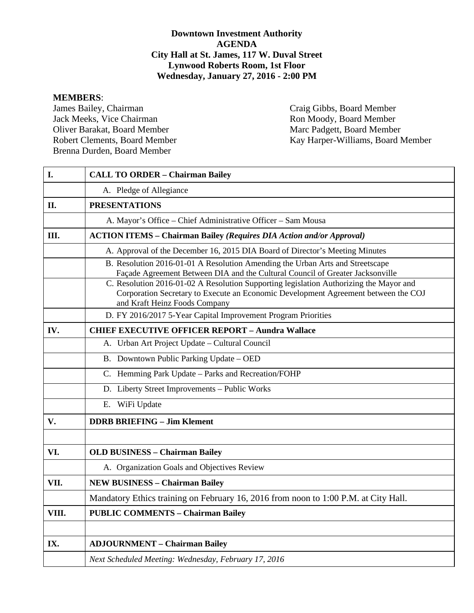# **Downtown Investment Authority AGENDA City Hall at St. James, 117 W. Duval Street Lynwood Roberts Room, 1st Floor Wednesday, January 27, 2016 - 2:00 PM**

**MEMBERS**: Jack Meeks, Vice Chairman Oliver Barakat, Board Member Marc Padgett, Board Member Brenna Durden, Board Member

Craig Gibbs, Board Member<br>Ron Moody, Board Member Robert Clements, Board Member Kay Harper-Williams, Board Member

| I.    | <b>CALL TO ORDER - Chairman Bailey</b>                                                                                                                                                                        |  |  |  |  |  |  |  |  |
|-------|---------------------------------------------------------------------------------------------------------------------------------------------------------------------------------------------------------------|--|--|--|--|--|--|--|--|
|       | A. Pledge of Allegiance                                                                                                                                                                                       |  |  |  |  |  |  |  |  |
| II.   | <b>PRESENTATIONS</b>                                                                                                                                                                                          |  |  |  |  |  |  |  |  |
|       | A. Mayor's Office - Chief Administrative Officer - Sam Mousa                                                                                                                                                  |  |  |  |  |  |  |  |  |
| Ш.    | <b>ACTION ITEMS - Chairman Bailey (Requires DIA Action and/or Approval)</b>                                                                                                                                   |  |  |  |  |  |  |  |  |
|       | A. Approval of the December 16, 2015 DIA Board of Director's Meeting Minutes                                                                                                                                  |  |  |  |  |  |  |  |  |
|       | B. Resolution 2016-01-01 A Resolution Amending the Urban Arts and Streetscape<br>Façade Agreement Between DIA and the Cultural Council of Greater Jacksonville                                                |  |  |  |  |  |  |  |  |
|       | C. Resolution 2016-01-02 A Resolution Supporting legislation Authorizing the Mayor and<br>Corporation Secretary to Execute an Economic Development Agreement between the COJ<br>and Kraft Heinz Foods Company |  |  |  |  |  |  |  |  |
|       | D. FY 2016/2017 5-Year Capital Improvement Program Priorities                                                                                                                                                 |  |  |  |  |  |  |  |  |
| IV.   | <b>CHIEF EXECUTIVE OFFICER REPORT - Aundra Wallace</b>                                                                                                                                                        |  |  |  |  |  |  |  |  |
|       | A. Urban Art Project Update - Cultural Council                                                                                                                                                                |  |  |  |  |  |  |  |  |
|       | B. Downtown Public Parking Update - OED                                                                                                                                                                       |  |  |  |  |  |  |  |  |
|       | C. Hemming Park Update - Parks and Recreation/FOHP                                                                                                                                                            |  |  |  |  |  |  |  |  |
|       | D. Liberty Street Improvements - Public Works                                                                                                                                                                 |  |  |  |  |  |  |  |  |
|       | E. WiFi Update                                                                                                                                                                                                |  |  |  |  |  |  |  |  |
| V.    | <b>DDRB BRIEFING - Jim Klement</b>                                                                                                                                                                            |  |  |  |  |  |  |  |  |
|       |                                                                                                                                                                                                               |  |  |  |  |  |  |  |  |
| VI.   | <b>OLD BUSINESS - Chairman Bailey</b>                                                                                                                                                                         |  |  |  |  |  |  |  |  |
|       | A. Organization Goals and Objectives Review                                                                                                                                                                   |  |  |  |  |  |  |  |  |
| VII.  | <b>NEW BUSINESS - Chairman Bailey</b>                                                                                                                                                                         |  |  |  |  |  |  |  |  |
|       | Mandatory Ethics training on February 16, 2016 from noon to 1:00 P.M. at City Hall.                                                                                                                           |  |  |  |  |  |  |  |  |
| VIII. | <b>PUBLIC COMMENTS - Chairman Bailey</b>                                                                                                                                                                      |  |  |  |  |  |  |  |  |
|       |                                                                                                                                                                                                               |  |  |  |  |  |  |  |  |
| IX.   | <b>ADJOURNMENT - Chairman Bailey</b>                                                                                                                                                                          |  |  |  |  |  |  |  |  |
|       | Next Scheduled Meeting: Wednesday, February 17, 2016                                                                                                                                                          |  |  |  |  |  |  |  |  |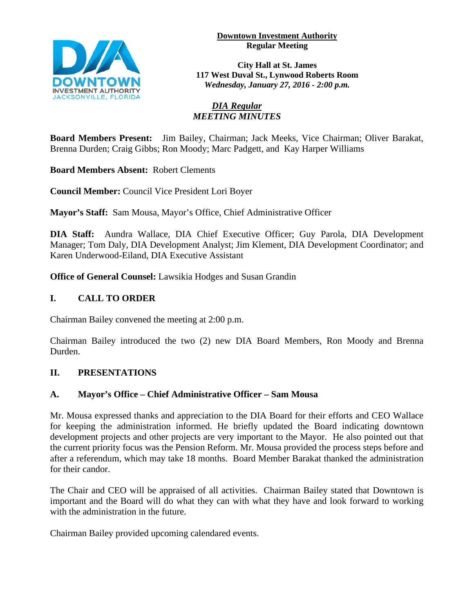**Downtown Investment Authority Regular Meeting** 



**City Hall at St. James 117 West Duval St., Lynwood Roberts Room** *Wednesday, January 27, 2016 - 2:00 p.m.*

# *DIA Regular MEETING MINUTES*

**Board Members Present:** Jim Bailey, Chairman; Jack Meeks, Vice Chairman; Oliver Barakat, Brenna Durden; Craig Gibbs; Ron Moody; Marc Padgett, and Kay Harper Williams

**Board Members Absent:** Robert Clements

**Council Member:** Council Vice President Lori Boyer

**Mayor's Staff:** Sam Mousa, Mayor's Office, Chief Administrative Officer

**DIA Staff:** Aundra Wallace, DIA Chief Executive Officer; Guy Parola, DIA Development Manager; Tom Daly, DIA Development Analyst; Jim Klement, DIA Development Coordinator; and Karen Underwood-Eiland, DIA Executive Assistant

**Office of General Counsel:** Lawsikia Hodges and Susan Grandin

# **I. CALL TO ORDER**

Chairman Bailey convened the meeting at 2:00 p.m.

Chairman Bailey introduced the two (2) new DIA Board Members, Ron Moody and Brenna Durden.

# **II. PRESENTATIONS**

# **A. Mayor's Office – Chief Administrative Officer – Sam Mousa**

Mr. Mousa expressed thanks and appreciation to the DIA Board for their efforts and CEO Wallace for keeping the administration informed. He briefly updated the Board indicating downtown development projects and other projects are very important to the Mayor. He also pointed out that the current priority focus was the Pension Reform. Mr. Mousa provided the process steps before and after a referendum, which may take 18 months. Board Member Barakat thanked the administration for their candor.

The Chair and CEO will be appraised of all activities. Chairman Bailey stated that Downtown is important and the Board will do what they can with what they have and look forward to working with the administration in the future.

Chairman Bailey provided upcoming calendared events.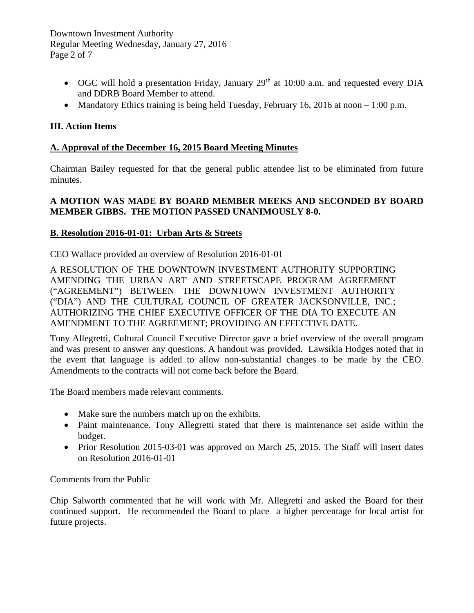Downtown Investment Authority Regular Meeting Wednesday, January 27, 2016 Page 2 of 7

- OGC will hold a presentation Friday, January  $29<sup>th</sup>$  at 10:00 a.m. and requested every DIA and DDRB Board Member to attend.
- Mandatory Ethics training is being held Tuesday, February 16, 2016 at noon 1:00 p.m.

# **III. Action Items**

# **A. Approval of the December 16, 2015 Board Meeting Minutes**

Chairman Bailey requested for that the general public attendee list to be eliminated from future minutes.

# **A MOTION WAS MADE BY BOARD MEMBER MEEKS AND SECONDED BY BOARD MEMBER GIBBS. THE MOTION PASSED UNANIMOUSLY 8-0.**

# **B. Resolution 2016-01-01: Urban Arts & Streets**

CEO Wallace provided an overview of Resolution 2016-01-01

A RESOLUTION OF THE DOWNTOWN INVESTMENT AUTHORITY SUPPORTING AMENDING THE URBAN ART AND STREETSCAPE PROGRAM AGREEMENT ("AGREEMENT") BETWEEN THE DOWNTOWN INVESTMENT AUTHORITY ("DIA") AND THE CULTURAL COUNCIL OF GREATER JACKSONVILLE, INC.; AUTHORIZING THE CHIEF EXECUTIVE OFFICER OF THE DIA TO EXECUTE AN AMENDMENT TO THE AGREEMENT; PROVIDING AN EFFECTIVE DATE.

Tony Allegretti, Cultural Council Executive Director gave a brief overview of the overall program and was present to answer any questions. A handout was provided. Lawsikia Hodges noted that in the event that language is added to allow non-substantial changes to be made by the CEO. Amendments to the contracts will not come back before the Board.

The Board members made relevant comments.

- Make sure the numbers match up on the exhibits.
- Paint maintenance. Tony Allegretti stated that there is maintenance set aside within the budget.
- Prior Resolution 2015-03-01 was approved on March 25, 2015. The Staff will insert dates on Resolution 2016-01-01

Comments from the Public

Chip Salworth commented that he will work with Mr. Allegretti and asked the Board for their continued support. He recommended the Board to place a higher percentage for local artist for future projects.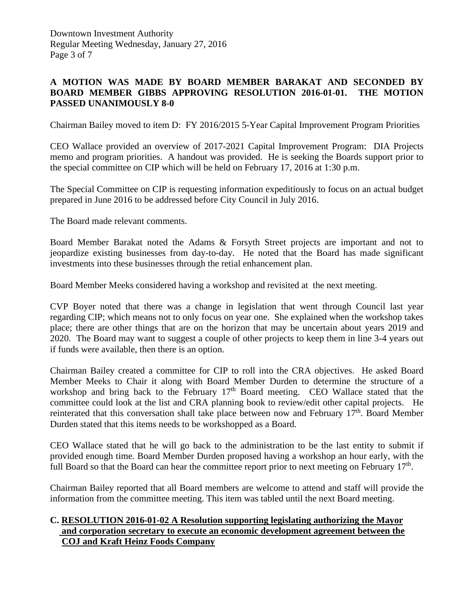# **A MOTION WAS MADE BY BOARD MEMBER BARAKAT AND SECONDED BY BOARD MEMBER GIBBS APPROVING RESOLUTION 2016-01-01. THE MOTION PASSED UNANIMOUSLY 8-0**

Chairman Bailey moved to item D: FY 2016/2015 5-Year Capital Improvement Program Priorities

CEO Wallace provided an overview of 2017-2021 Capital Improvement Program: DIA Projects memo and program priorities. A handout was provided. He is seeking the Boards support prior to the special committee on CIP which will be held on February 17, 2016 at 1:30 p.m.

The Special Committee on CIP is requesting information expeditiously to focus on an actual budget prepared in June 2016 to be addressed before City Council in July 2016.

The Board made relevant comments.

Board Member Barakat noted the Adams & Forsyth Street projects are important and not to jeopardize existing businesses from day-to-day. He noted that the Board has made significant investments into these businesses through the retial enhancement plan.

Board Member Meeks considered having a workshop and revisited at the next meeting.

CVP Boyer noted that there was a change in legislation that went through Council last year regarding CIP; which means not to only focus on year one. She explained when the workshop takes place; there are other things that are on the horizon that may be uncertain about years 2019 and 2020. The Board may want to suggest a couple of other projects to keep them in line 3-4 years out if funds were available, then there is an option.

Chairman Bailey created a committee for CIP to roll into the CRA objectives. He asked Board Member Meeks to Chair it along with Board Member Durden to determine the structure of a workshop and bring back to the February  $17<sup>th</sup>$  Board meeting. CEO Wallace stated that the committee could look at the list and CRA planning book to review/edit other capital projects. He reinterated that this conversation shall take place between now and February  $17<sup>th</sup>$ . Board Member Durden stated that this items needs to be workshopped as a Board.

CEO Wallace stated that he will go back to the administration to be the last entity to submit if provided enough time. Board Member Durden proposed having a workshop an hour early, with the full Board so that the Board can hear the committee report prior to next meeting on February  $17<sup>th</sup>$ .

Chairman Bailey reported that all Board members are welcome to attend and staff will provide the information from the committee meeting. This item was tabled until the next Board meeting.

# **C. RESOLUTION 2016-01-02 A Resolution supporting legislating authorizing the Mayor and corporation secretary to execute an economic development agreement between the COJ and Kraft Heinz Foods Company**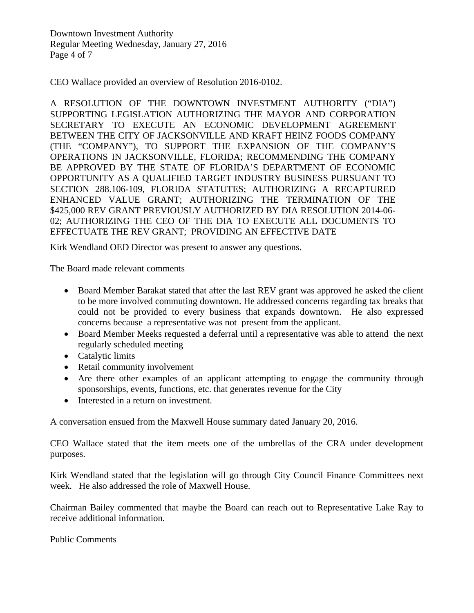Downtown Investment Authority Regular Meeting Wednesday, January 27, 2016 Page 4 of 7

CEO Wallace provided an overview of Resolution 2016-0102.

A RESOLUTION OF THE DOWNTOWN INVESTMENT AUTHORITY ("DIA") SUPPORTING LEGISLATION AUTHORIZING THE MAYOR AND CORPORATION SECRETARY TO EXECUTE AN ECONOMIC DEVELOPMENT AGREEMENT BETWEEN THE CITY OF JACKSONVILLE AND KRAFT HEINZ FOODS COMPANY (THE "COMPANY"), TO SUPPORT THE EXPANSION OF THE COMPANY'S OPERATIONS IN JACKSONVILLE, FLORIDA; RECOMMENDING THE COMPANY BE APPROVED BY THE STATE OF FLORIDA'S DEPARTMENT OF ECONOMIC OPPORTUNITY AS A QUALIFIED TARGET INDUSTRY BUSINESS PURSUANT TO SECTION 288.106-109, FLORIDA STATUTES; AUTHORIZING A RECAPTURED ENHANCED VALUE GRANT; AUTHORIZING THE TERMINATION OF THE \$425,000 REV GRANT PREVIOUSLY AUTHORIZED BY DIA RESOLUTION 2014-06- 02; AUTHORIZING THE CEO OF THE DIA TO EXECUTE ALL DOCUMENTS TO EFFECTUATE THE REV GRANT; PROVIDING AN EFFECTIVE DATE

Kirk Wendland OED Director was present to answer any questions.

The Board made relevant comments

- Board Member Barakat stated that after the last REV grant was approved he asked the client to be more involved commuting downtown. He addressed concerns regarding tax breaks that could not be provided to every business that expands downtown. He also expressed concerns because a representative was not present from the applicant.
- Board Member Meeks requested a deferral until a representative was able to attend the next regularly scheduled meeting
- Catalytic limits
- Retail community involvement
- Are there other examples of an applicant attempting to engage the community through sponsorships, events, functions, etc. that generates revenue for the City
- Interested in a return on investment.

A conversation ensued from the Maxwell House summary dated January 20, 2016.

CEO Wallace stated that the item meets one of the umbrellas of the CRA under development purposes.

Kirk Wendland stated that the legislation will go through City Council Finance Committees next week. He also addressed the role of Maxwell House.

Chairman Bailey commented that maybe the Board can reach out to Representative Lake Ray to receive additional information.

Public Comments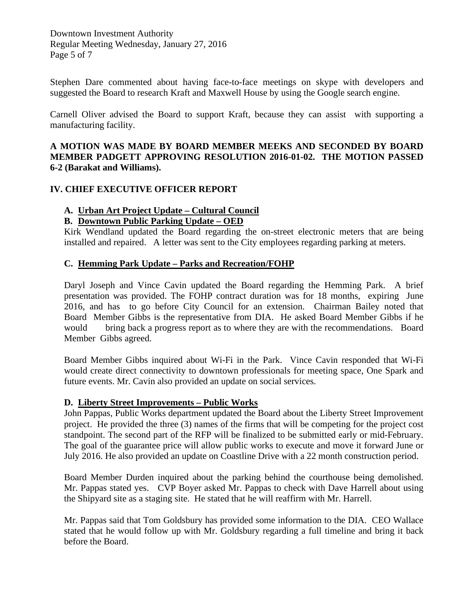Downtown Investment Authority Regular Meeting Wednesday, January 27, 2016 Page 5 of 7

Stephen Dare commented about having face-to-face meetings on skype with developers and suggested the Board to research Kraft and Maxwell House by using the Google search engine.

Carnell Oliver advised the Board to support Kraft, because they can assist with supporting a manufacturing facility.

# **A MOTION WAS MADE BY BOARD MEMBER MEEKS AND SECONDED BY BOARD MEMBER PADGETT APPROVING RESOLUTION 2016-01-02. THE MOTION PASSED 6-2 (Barakat and Williams).**

## **IV. CHIEF EXECUTIVE OFFICER REPORT**

## **A. Urban Art Project Update – Cultural Council**

## **B. Downtown Public Parking Update – OED**

 Kirk Wendland updated the Board regarding the on-street electronic meters that are being installed and repaired. A letter was sent to the City employees regarding parking at meters.

## **C. Hemming Park Update – Parks and Recreation/FOHP**

 Daryl Joseph and Vince Cavin updated the Board regarding the Hemming Park. A brief presentation was provided. The FOHP contract duration was for 18 months, expiring June 2016, and has to go before City Council for an extension. Chairman Bailey noted that Board Member Gibbs is the representative from DIA. He asked Board Member Gibbs if he would bring back a progress report as to where they are with the recommendations. Board Member Gibbs agreed.

 Board Member Gibbs inquired about Wi-Fi in the Park. Vince Cavin responded that Wi-Fi would create direct connectivity to downtown professionals for meeting space, One Spark and future events. Mr. Cavin also provided an update on social services.

#### **D. Liberty Street Improvements – Public Works**

John Pappas, Public Works department updated the Board about the Liberty Street Improvement project. He provided the three (3) names of the firms that will be competing for the project cost standpoint. The second part of the RFP will be finalized to be submitted early or mid-February. The goal of the guarantee price will allow public works to execute and move it forward June or July 2016. He also provided an update on Coastline Drive with a 22 month construction period.

Board Member Durden inquired about the parking behind the courthouse being demolished. Mr. Pappas stated yes. CVP Boyer asked Mr. Pappas to check with Dave Harrell about using the Shipyard site as a staging site. He stated that he will reaffirm with Mr. Harrell.

Mr. Pappas said that Tom Goldsbury has provided some information to the DIA. CEO Wallace stated that he would follow up with Mr. Goldsbury regarding a full timeline and bring it back before the Board.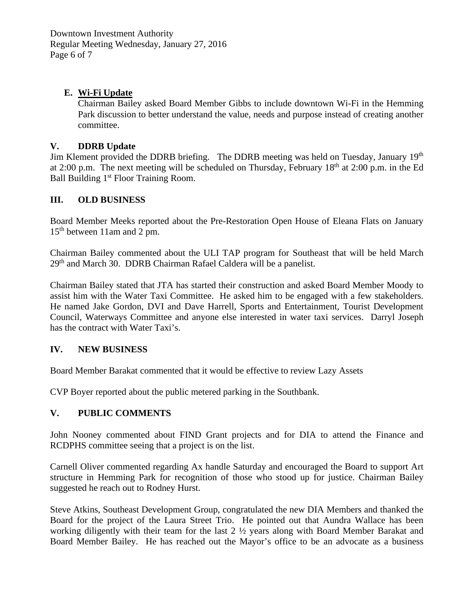Downtown Investment Authority Regular Meeting Wednesday, January 27, 2016 Page 6 of 7

# **E. Wi-Fi Update**

Chairman Bailey asked Board Member Gibbs to include downtown Wi-Fi in the Hemming Park discussion to better understand the value, needs and purpose instead of creating another committee.

#### **V. DDRB Update**

Jim Klement provided the DDRB briefing. The DDRB meeting was held on Tuesday, January  $19<sup>th</sup>$ at 2:00 p.m. The next meeting will be scheduled on Thursday, February  $18<sup>th</sup>$  at 2:00 p.m. in the Ed Ball Building 1<sup>st</sup> Floor Training Room.

## **III. OLD BUSINESS**

Board Member Meeks reported about the Pre-Restoration Open House of Eleana Flats on January 15th between 11am and 2 pm.

Chairman Bailey commented about the ULI TAP program for Southeast that will be held March  $29<sup>th</sup>$  and March 30. DDRB Chairman Rafael Caldera will be a panelist.

Chairman Bailey stated that JTA has started their construction and asked Board Member Moody to assist him with the Water Taxi Committee. He asked him to be engaged with a few stakeholders. He named Jake Gordon, DVI and Dave Harrell, Sports and Entertainment, Tourist Development Council, Waterways Committee and anyone else interested in water taxi services. Darryl Joseph has the contract with Water Taxi's.

# **IV. NEW BUSINESS**

Board Member Barakat commented that it would be effective to review Lazy Assets

CVP Boyer reported about the public metered parking in the Southbank.

# **V. PUBLIC COMMENTS**

John Nooney commented about FIND Grant projects and for DIA to attend the Finance and RCDPHS committee seeing that a project is on the list.

Carnell Oliver commented regarding Ax handle Saturday and encouraged the Board to support Art structure in Hemming Park for recognition of those who stood up for justice. Chairman Bailey suggested he reach out to Rodney Hurst.

Steve Atkins, Southeast Development Group, congratulated the new DIA Members and thanked the Board for the project of the Laura Street Trio. He pointed out that Aundra Wallace has been working diligently with their team for the last 2 ½ years along with Board Member Barakat and Board Member Bailey. He has reached out the Mayor's office to be an advocate as a business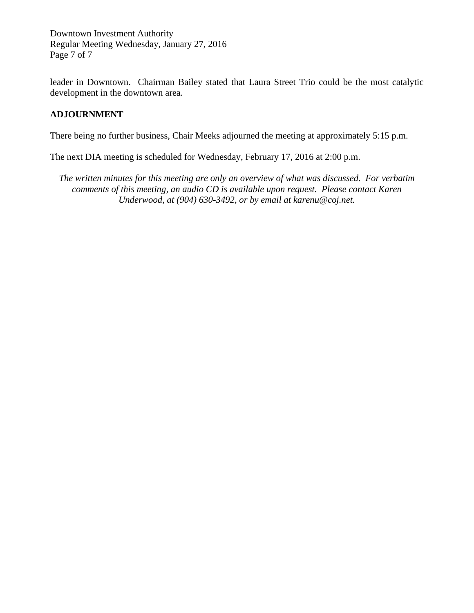Downtown Investment Authority Regular Meeting Wednesday, January 27, 2016 Page 7 of 7

leader in Downtown. Chairman Bailey stated that Laura Street Trio could be the most catalytic development in the downtown area.

# **ADJOURNMENT**

There being no further business, Chair Meeks adjourned the meeting at approximately 5:15 p.m.

The next DIA meeting is scheduled for Wednesday, February 17, 2016 at 2:00 p.m.

*The written minutes for this meeting are only an overview of what was discussed. For verbatim comments of this meeting, an audio CD is available upon request. Please contact Karen Underwood, at (904) 630-3492, or by email at karenu@coj.net.*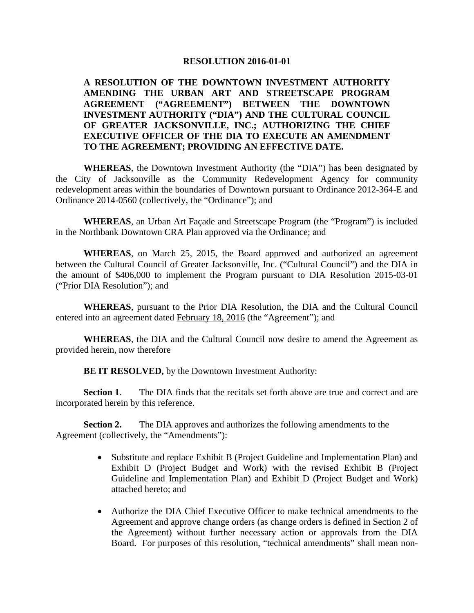#### **RESOLUTION 2016-01-01**

# **A RESOLUTION OF THE DOWNTOWN INVESTMENT AUTHORITY AMENDING THE URBAN ART AND STREETSCAPE PROGRAM AGREEMENT ("AGREEMENT") BETWEEN THE DOWNTOWN INVESTMENT AUTHORITY ("DIA") AND THE CULTURAL COUNCIL OF GREATER JACKSONVILLE, INC.; AUTHORIZING THE CHIEF EXECUTIVE OFFICER OF THE DIA TO EXECUTE AN AMENDMENT TO THE AGREEMENT; PROVIDING AN EFFECTIVE DATE.**

**WHEREAS**, the Downtown Investment Authority (the "DIA") has been designated by the City of Jacksonville as the Community Redevelopment Agency for community redevelopment areas within the boundaries of Downtown pursuant to Ordinance 2012-364-E and Ordinance 2014-0560 (collectively, the "Ordinance"); and

**WHEREAS**, an Urban Art Façade and Streetscape Program (the "Program") is included in the Northbank Downtown CRA Plan approved via the Ordinance; and

**WHEREAS**, on March 25, 2015, the Board approved and authorized an agreement between the Cultural Council of Greater Jacksonville, Inc. ("Cultural Council") and the DIA in the amount of \$406,000 to implement the Program pursuant to DIA Resolution 2015-03-01 ("Prior DIA Resolution"); and

**WHEREAS**, pursuant to the Prior DIA Resolution, the DIA and the Cultural Council entered into an agreement dated February 18, 2016 (the "Agreement"); and

**WHEREAS**, the DIA and the Cultural Council now desire to amend the Agreement as provided herein, now therefore

**BE IT RESOLVED,** by the Downtown Investment Authority:

**Section 1**. The DIA finds that the recitals set forth above are true and correct and are incorporated herein by this reference.

**Section 2.** The DIA approves and authorizes the following amendments to the Agreement (collectively, the "Amendments"):

- Substitute and replace Exhibit B (Project Guideline and Implementation Plan) and Exhibit D (Project Budget and Work) with the revised Exhibit B (Project Guideline and Implementation Plan) and Exhibit D (Project Budget and Work) attached hereto; and
- Authorize the DIA Chief Executive Officer to make technical amendments to the Agreement and approve change orders (as change orders is defined in Section 2 of the Agreement) without further necessary action or approvals from the DIA Board. For purposes of this resolution, "technical amendments" shall mean non-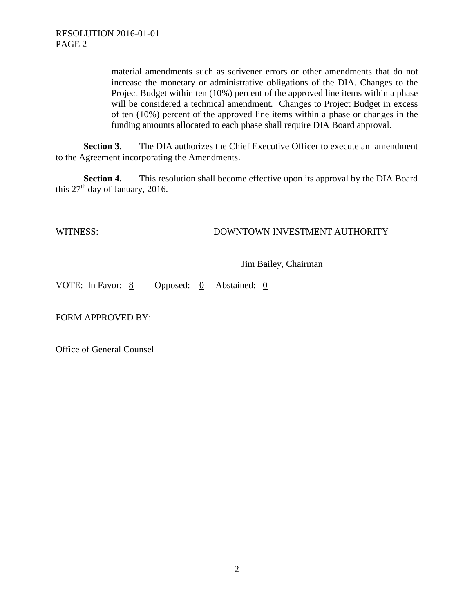material amendments such as scrivener errors or other amendments that do not increase the monetary or administrative obligations of the DIA. Changes to the Project Budget within ten (10%) percent of the approved line items within a phase will be considered a technical amendment. Changes to Project Budget in excess of ten (10%) percent of the approved line items within a phase or changes in the funding amounts allocated to each phase shall require DIA Board approval.

**Section 3.** The DIA authorizes the Chief Executive Officer to execute an amendment to the Agreement incorporating the Amendments.

**Section 4.** This resolution shall become effective upon its approval by the DIA Board this  $27<sup>th</sup>$  day of January, 2016.

\_\_\_\_\_\_\_\_\_\_\_\_\_\_\_\_\_\_\_\_\_\_ \_\_\_\_\_\_\_\_\_\_\_\_\_\_\_\_\_\_\_\_\_\_\_\_\_\_\_\_\_\_\_\_\_\_\_\_\_\_

# WITNESS: DOWNTOWN INVESTMENT AUTHORITY

Jim Bailey, Chairman

VOTE: In Favor: 8 Opposed: 0 Abstained: 0

FORM APPROVED BY:

Office of General Counsel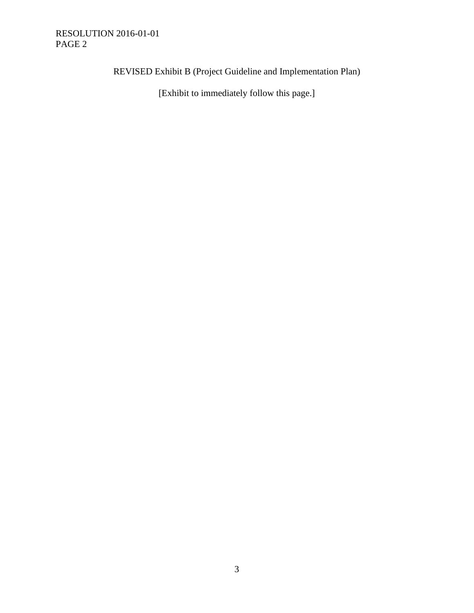# RESOLUTION 2016-01-01 PAGE 2

REVISED Exhibit B (Project Guideline and Implementation Plan)

[Exhibit to immediately follow this page.]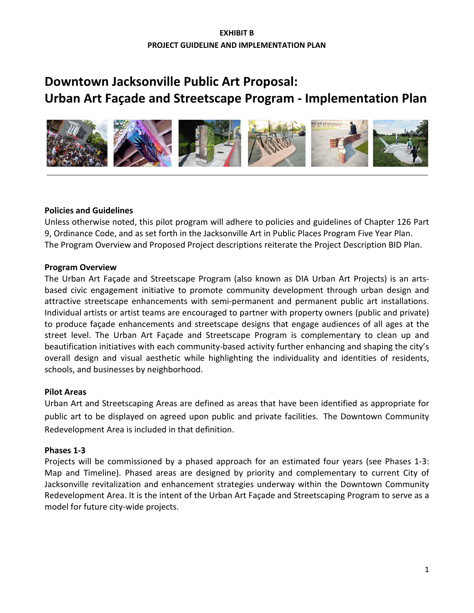# **Downtown Jacksonville Public Art Proposal: Urban Art Façade and Streetscape Program - Implementation Plan**



## **Policies and Guidelines**

Unless otherwise noted, this pilot program will adhere to policies and guidelines of Chapter 126 Part 9, Ordinance Code, and as set forth in the Jacksonville Art in Public Places Program Five Year Plan. The Program Overview and Proposed Project descriptions reiterate the Project Description BID Plan.

#### **Program Overview**

The Urban Art Façade and Streetscape Program (also known as DIA Urban Art Projects) is an artsbased civic engagement initiative to promote community development through urban design and attractive streetscape enhancements with semi-permanent and permanent public art installations. Individual artists or artist teams are encouraged to partner with property owners (public and private) to produce façade enhancements and streetscape designs that engage audiences of all ages at the street level. The Urban Art Façade and Streetscape Program is complementary to clean up and beautification initiatives with each community-based activity further enhancing and shaping the city's overall design and visual aesthetic while highlighting the individuality and identities of residents, schools, and businesses by neighborhood.

# **Pilot Areas**

Urban Art and Streetscaping Areas are defined as areas that have been identified as appropriate for public art to be displayed on agreed upon public and private facilities. The Downtown Community Redevelopment Area is included in that definition.

#### **Phases 1-3**

Projects will be commissioned by a phased approach for an estimated four years (see Phases 1-3: Map and Timeline). Phased areas are designed by priority and complementary to current City of Jacksonville revitalization and enhancement strategies underway within the Downtown Community Redevelopment Area. It is the intent of the Urban Art Façade and Streetscaping Program to serve as a model for future city-wide projects.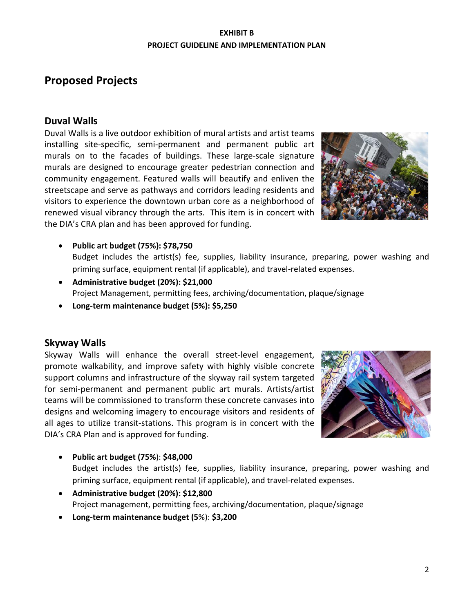# **Proposed Projects**

# **Duval Walls**

Duval Walls is a live outdoor exhibition of mural artists and artist teams installing site-specific, semi-permanent and permanent public art murals on to the facades of buildings. These large-scale signature murals are designed to encourage greater pedestrian connection and community engagement. Featured walls will beautify and enliven the streetscape and serve as pathways and corridors leading residents and visitors to experience the downtown urban core as a neighborhood of renewed visual vibrancy through the arts. This item is in concert with the DIA's CRA plan and has been approved for funding.



- **Public art budget (75%): \$78,750**  Budget includes the artist(s) fee, supplies, liability insurance, preparing, power washing and priming surface, equipment rental (if applicable), and travel-related expenses.
- **Administrative budget (20%): \$21,000** Project Management, permitting fees, archiving/documentation, plaque/signage
- **Long-term maintenance budget (5%): \$5,250**

# **Skyway Walls**

Skyway Walls will enhance the overall street-level engagement, promote walkability, and improve safety with highly visible concrete support columns and infrastructure of the skyway rail system targeted for semi-permanent and permanent public art murals. Artists/artist teams will be commissioned to transform these concrete canvases into designs and welcoming imagery to encourage visitors and residents of all ages to utilize transit-stations. This program is in concert with the DIA's CRA Plan and is approved for funding.



• **Public art budget (75%**): **\$48,000**

Budget includes the artist(s) fee, supplies, liability insurance, preparing, power washing and priming surface, equipment rental (if applicable), and travel-related expenses.

- **Administrative budget (20%): \$12,800** Project management, permitting fees, archiving/documentation, plaque/signage
- **Long-term maintenance budget (5**%): **\$3,200**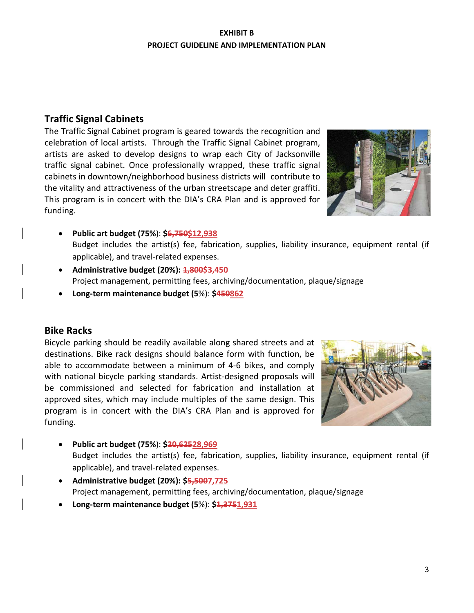# **Traffic Signal Cabinets**

The Traffic Signal Cabinet program is geared towards the recognition and celebration of local artists. Through the Traffic Signal Cabinet program, artists are asked to develop designs to wrap each City of Jacksonville traffic signal cabinet. Once professionally wrapped, these traffic signal cabinets in downtown/neighborhood business districts will contribute to the vitality and attractiveness of the urban streetscape and deter graffiti. This program is in concert with the DIA's CRA Plan and is approved for funding.



- **Public art budget (75%**): **\$6,750\$12,938** Budget includes the artist(s) fee, fabrication, supplies, liability insurance, equipment rental (if applicable), and travel-related expenses.
- **Administrative budget (20%): 1,800\$3,450** Project management, permitting fees, archiving/documentation, plaque/signage
- **Long-term maintenance budget (5**%): **\$450862**

# **Bike Racks**

Bicycle parking should be readily available along shared streets and at destinations. Bike rack designs should balance form with function, be able to accommodate between a minimum of 4-6 bikes, and comply with national bicycle parking standards. Artist-designed proposals will be commissioned and selected for fabrication and installation at approved sites, which may include multiples of the same design. This program is in concert with the DIA's CRA Plan and is approved for funding.



- **Public art budget (75%**): **\$20,62528,969** Budget includes the artist(s) fee, fabrication, supplies, liability insurance, equipment rental (if applicable), and travel-related expenses.
- **Administrative budget (20%): \$5,5007,725** Project management, permitting fees, archiving/documentation, plaque/signage
- **Long-term maintenance budget (5**%): **\$1,3751,931**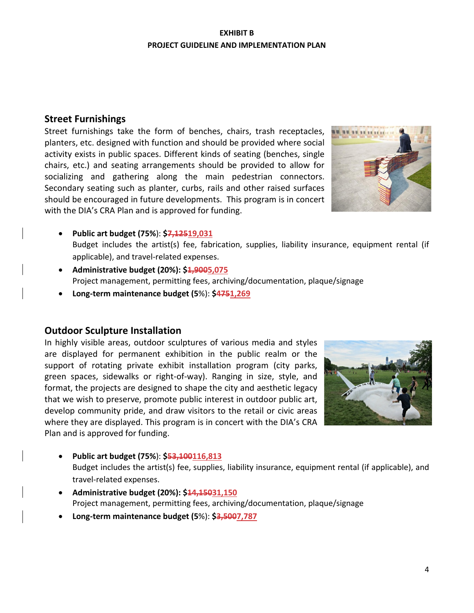# **Street Furnishings**

Street furnishings take the form of benches, chairs, trash receptacles, planters, etc. designed with function and should be provided where social activity exists in public spaces. Different kinds of seating (benches, single chairs, etc.) and seating arrangements should be provided to allow for socializing and gathering along the main pedestrian connectors. Secondary seating such as planter, curbs, rails and other raised surfaces should be encouraged in future developments. This program is in concert with the DIA's CRA Plan and is approved for funding.



- **Public art budget (75%**): **\$7,12519,031** Budget includes the artist(s) fee, fabrication, supplies, liability insurance, equipment rental (if applicable), and travel-related expenses.
- **Administrative budget (20%): \$1,9005,075** Project management, permitting fees, archiving/documentation, plaque/signage
- **Long-term maintenance budget (5**%): **\$4751,269**

# **Outdoor Sculpture Installation**

In highly visible areas, outdoor sculptures of various media and styles are displayed for permanent exhibition in the public realm or the support of rotating private exhibit installation program (city parks, green spaces, sidewalks or right-of-way). Ranging in size, style, and format, the projects are designed to shape the city and aesthetic legacy that we wish to preserve, promote public interest in outdoor public art, develop community pride, and draw visitors to the retail or civic areas where they are displayed. This program is in concert with the DIA's CRA Plan and is approved for funding.



• **Public art budget (75%**): **\$53,100116,813**

Budget includes the artist(s) fee, supplies, liability insurance, equipment rental (if applicable), and travel-related expenses.

- **Administrative budget (20%): \$14,15031,150** Project management, permitting fees, archiving/documentation, plaque/signage
- **Long-term maintenance budget (5**%): **\$3,5007,787**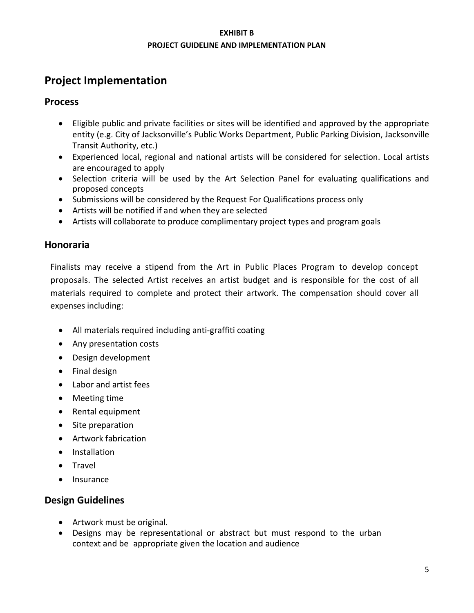# **Project Implementation**

# **Process**

- Eligible public and private facilities or sites will be identified and approved by the appropriate entity (e.g. City of Jacksonville's Public Works Department, Public Parking Division, Jacksonville Transit Authority, etc.)
- Experienced local, regional and national artists will be considered for selection. Local artists are encouraged to apply
- Selection criteria will be used by the Art Selection Panel for evaluating qualifications and proposed concepts
- Submissions will be considered by the Request For Qualifications process only
- Artists will be notified if and when they are selected
- Artists will collaborate to produce complimentary project types and program goals

# **Honoraria**

Finalists may receive a stipend from the Art in Public Places Program to develop concept proposals. The selected Artist receives an artist budget and is responsible for the cost of all materials required to complete and protect their artwork. The compensation should cover all expenses including:

- All materials required including anti-graffiti coating
- Any presentation costs
- Design development
- Final design
- Labor and artist fees
- Meeting time
- Rental equipment
- Site preparation
- Artwork fabrication
- Installation
- Travel
- Insurance

# **Design Guidelines**

- Artwork must be original.
- Designs may be representational or abstract but must respond to the urban context and be appropriate given the location and audience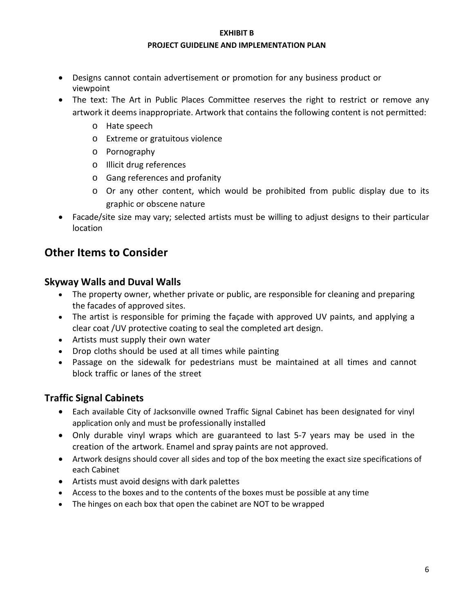#### **EXHIBIT B**

#### **PROJECT GUIDELINE AND IMPLEMENTATION PLAN**

- Designs cannot contain advertisement or promotion for any business product or viewpoint
- The text: The Art in Public Places Committee reserves the right to restrict or remove any artwork it deems inappropriate. Artwork that contains the following content is not permitted:
	- o Hate speech
	- o Extreme or gratuitous violence
	- o Pornography
	- o Illicit drug references
	- o Gang references and profanity
	- o Or any other content, which would be prohibited from public display due to its graphic or obscene nature
- Facade/site size may vary; selected artists must be willing to adjust designs to their particular location

# **Other Items to Consider**

# **Skyway Walls and Duval Walls**

- The property owner, whether private or public, are responsible for cleaning and preparing the facades of approved sites.
- The artist is responsible for priming the façade with approved UV paints, and applying a clear coat /UV protective coating to seal the completed art design.
- Artists must supply their own water
- Drop cloths should be used at all times while painting
- Passage on the sidewalk for pedestrians must be maintained at all times and cannot block traffic or lanes of the street

# **Traffic Signal Cabinets**

- Each available City of Jacksonville owned Traffic Signal Cabinet has been designated for vinyl application only and must be professionally installed
- Only durable vinyl wraps which are guaranteed to last 5-7 years may be used in the creation of the artwork. Enamel and spray paints are not approved.
- Artwork designs should cover all sides and top of the box meeting the exact size specifications of each Cabinet
- Artists must avoid designs with dark palettes
- Access to the boxes and to the contents of the boxes must be possible at any time
- The hinges on each box that open the cabinet are NOT to be wrapped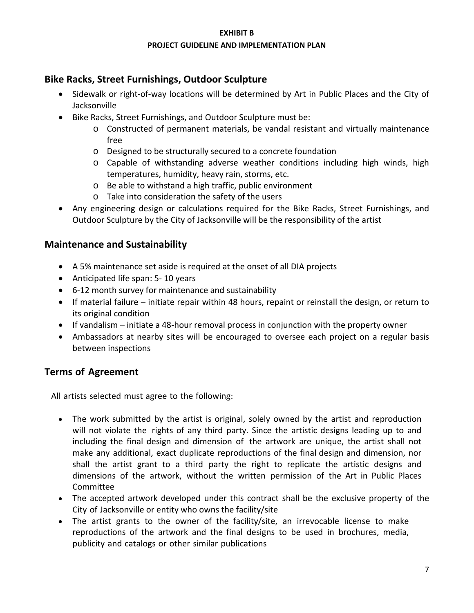# **Bike Racks, Street Furnishings, Outdoor Sculpture**

- Sidewalk or right-of-way locations will be determined by Art in Public Places and the City of Jacksonville
- Bike Racks, Street Furnishings, and Outdoor Sculpture must be:
	- o Constructed of permanent materials, be vandal resistant and virtually maintenance free
	- o Designed to be structurally secured to a concrete foundation
	- o Capable of withstanding adverse weather conditions including high winds, high temperatures, humidity, heavy rain, storms, etc.
	- o Be able to withstand a high traffic, public environment
	- o Take into consideration the safety of the users
- Any engineering design or calculations required for the Bike Racks, Street Furnishings, and Outdoor Sculpture by the City of Jacksonville will be the responsibility of the artist

# **Maintenance and Sustainability**

- A 5% maintenance set aside is required at the onset of all DIA projects
- Anticipated life span: 5- 10 years
- 6-12 month survey for maintenance and sustainability
- If material failure initiate repair within 48 hours, repaint or reinstall the design, or return to its original condition
- If vandalism initiate a 48-hour removal process in conjunction with the property owner
- Ambassadors at nearby sites will be encouraged to oversee each project on a regular basis between inspections

# **Terms of Agreement**

All artists selected must agree to the following:

- The work submitted by the artist is original, solely owned by the artist and reproduction will not violate the rights of any third party. Since the artistic designs leading up to and including the final design and dimension of the artwork are unique, the artist shall not make any additional, exact duplicate reproductions of the final design and dimension, nor shall the artist grant to a third party the right to replicate the artistic designs and dimensions of the artwork, without the written permission of the Art in Public Places Committee
- The accepted artwork developed under this contract shall be the exclusive property of the City of Jacksonville or entity who owns the facility/site
- The artist grants to the owner of the facility/site, an irrevocable license to make reproductions of the artwork and the final designs to be used in brochures, media, publicity and catalogs or other similar publications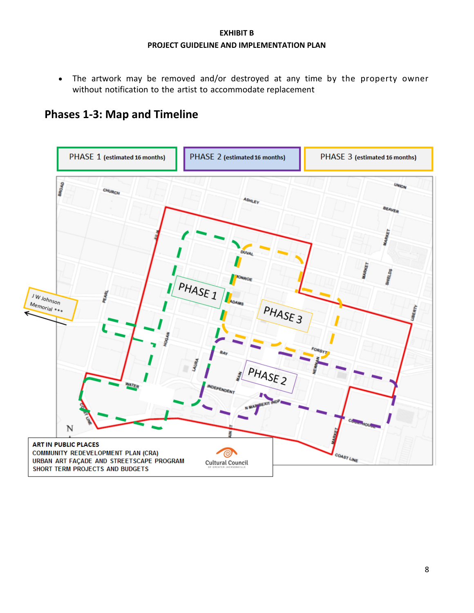• The artwork may be removed and/or destroyed at any time by the property owner without notification to the artist to accommodate replacement

# **Phases 1-3: Map and Timeline**

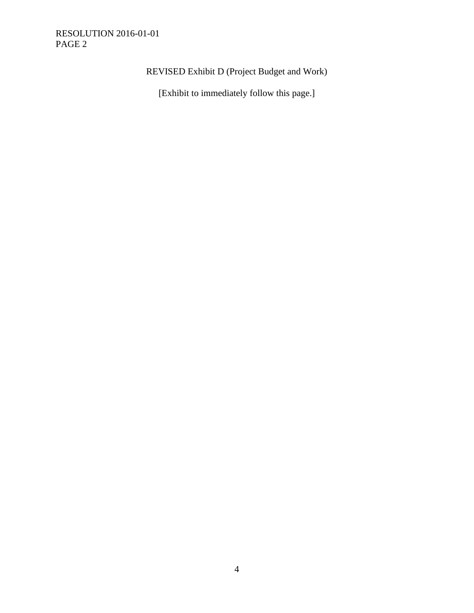# RESOLUTION 2016-01-01 PAGE 2

# REVISED Exhibit D (Project Budget and Work)

[Exhibit to immediately follow this page.]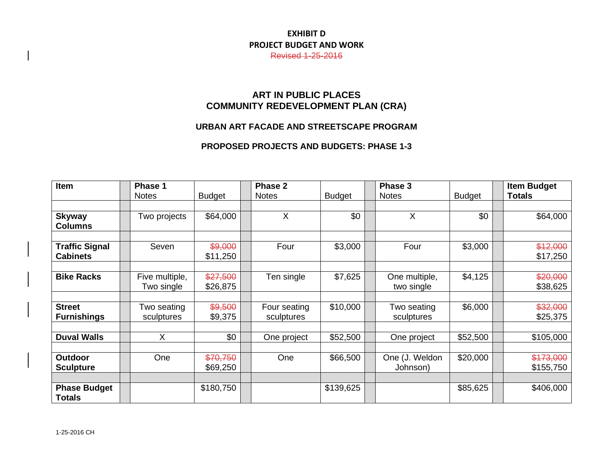# **EXHIBIT D PROJECT BUDGET AND WORK**

Revised 1-25-2016

# **ART IN PUBLIC PLACES COMMUNITY REDEVELOPMENT PLAN (CRA)**

# **URBAN ART FACADE AND STREETSCAPE PROGRAM**

#### **PROPOSED PROJECTS AND BUDGETS: PHASE 1-3**

| Item                                     | Phase 1                      |                      | Phase 2                    |               | Phase 3                     |               | <b>Item Budget</b>     |
|------------------------------------------|------------------------------|----------------------|----------------------------|---------------|-----------------------------|---------------|------------------------|
|                                          | <b>Notes</b>                 | <b>Budget</b>        | <b>Notes</b>               | <b>Budget</b> | <b>Notes</b>                | <b>Budget</b> | <b>Totals</b>          |
|                                          |                              |                      |                            |               |                             |               |                        |
| <b>Skyway</b><br><b>Columns</b>          | Two projects                 | \$64,000             | X                          | \$0           | X                           | \$0           | \$64,000               |
|                                          |                              |                      |                            |               |                             |               |                        |
| <b>Traffic Signal</b><br><b>Cabinets</b> | Seven                        | \$9,000<br>\$11,250  | Four                       | \$3,000       | Four                        | \$3,000       | \$12,000<br>\$17,250   |
|                                          |                              |                      |                            |               |                             |               |                        |
| <b>Bike Racks</b>                        | Five multiple,<br>Two single | \$27,500<br>\$26,875 | Ten single                 | \$7,625       | One multiple,<br>two single | \$4,125       | \$20,000<br>\$38,625   |
|                                          |                              |                      |                            |               |                             |               |                        |
| <b>Street</b><br><b>Furnishings</b>      | Two seating<br>sculptures    | \$9,500<br>\$9,375   | Four seating<br>sculptures | \$10,000      | Two seating<br>sculptures   | \$6,000       | \$32,000<br>\$25,375   |
|                                          |                              |                      |                            |               |                             |               |                        |
| <b>Duval Walls</b>                       | X                            | \$0                  | One project                | \$52,500      | One project                 | \$52,500      | \$105,000              |
|                                          |                              |                      |                            |               |                             |               |                        |
| Outdoor<br><b>Sculpture</b>              | One                          | \$70,750<br>\$69,250 | One                        | \$66,500      | One (J. Weldon<br>Johnson)  | \$20,000      | \$173,000<br>\$155,750 |
|                                          |                              |                      |                            |               |                             |               |                        |
| <b>Phase Budget</b><br><b>Totals</b>     |                              | \$180,750            |                            | \$139,625     |                             | \$85,625      | \$406,000              |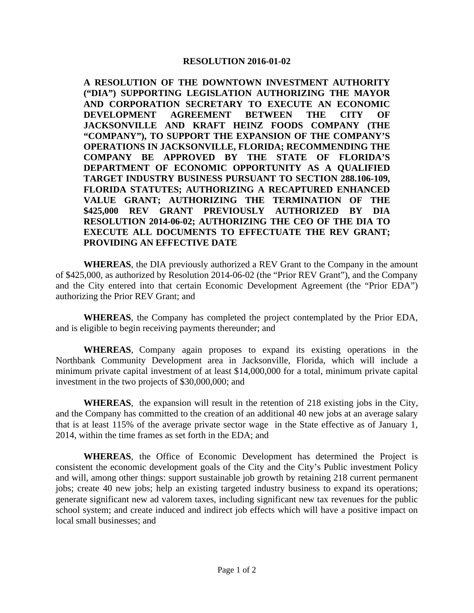#### **RESOLUTION 2016-01-02**

**A RESOLUTION OF THE DOWNTOWN INVESTMENT AUTHORITY ("DIA") SUPPORTING LEGISLATION AUTHORIZING THE MAYOR AND CORPORATION SECRETARY TO EXECUTE AN ECONOMIC DEVELOPMENT AGREEMENT BETWEEN THE CITY OF JACKSONVILLE AND KRAFT HEINZ FOODS COMPANY (THE "COMPANY"), TO SUPPORT THE EXPANSION OF THE COMPANY'S OPERATIONS IN JACKSONVILLE, FLORIDA; RECOMMENDING THE COMPANY BE APPROVED BY THE STATE OF FLORIDA'S DEPARTMENT OF ECONOMIC OPPORTUNITY AS A QUALIFIED TARGET INDUSTRY BUSINESS PURSUANT TO SECTION 288.106-109, FLORIDA STATUTES; AUTHORIZING A RECAPTURED ENHANCED VALUE GRANT; AUTHORIZING THE TERMINATION OF THE \$425,000 REV GRANT PREVIOUSLY AUTHORIZED BY DIA RESOLUTION 2014-06-02; AUTHORIZING THE CEO OF THE DIA TO EXECUTE ALL DOCUMENTS TO EFFECTUATE THE REV GRANT; PROVIDING AN EFFECTIVE DATE**

**WHEREAS**, the DIA previously authorized a REV Grant to the Company in the amount of \$425,000, as authorized by Resolution 2014-06-02 (the "Prior REV Grant"), and the Company and the City entered into that certain Economic Development Agreement (the "Prior EDA") authorizing the Prior REV Grant; and

**WHEREAS**, the Company has completed the project contemplated by the Prior EDA, and is eligible to begin receiving payments thereunder; and

**WHEREAS**, Company again proposes to expand its existing operations in the Northbank Community Development area in Jacksonville, Florida, which will include a minimum private capital investment of at least \$14,000,000 for a total, minimum private capital investment in the two projects of \$30,000,000; and

**WHEREAS**, the expansion will result in the retention of 218 existing jobs in the City, and the Company has committed to the creation of an additional 40 new jobs at an average salary that is at least 115% of the average private sector wage in the State effective as of January 1, 2014, within the time frames as set forth in the EDA; and

**WHEREAS**, the Office of Economic Development has determined the Project is consistent the economic development goals of the City and the City's Public investment Policy and will, among other things: support sustainable job growth by retaining 218 current permanent jobs; create 40 new jobs; help an existing targeted industry business to expand its operations; generate significant new ad valorem taxes, including significant new tax revenues for the public school system; and create induced and indirect job effects which will have a positive impact on local small businesses; and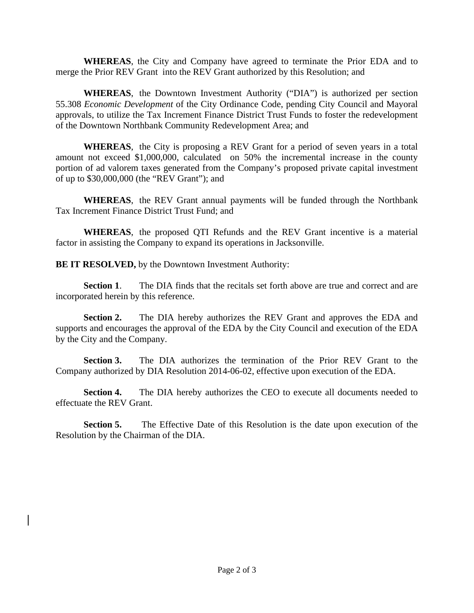**WHEREAS**, the City and Company have agreed to terminate the Prior EDA and to merge the Prior REV Grant into the REV Grant authorized by this Resolution; and

**WHEREAS**, the Downtown Investment Authority ("DIA") is authorized per section 55.308 *Economic Development* of the City Ordinance Code, pending City Council and Mayoral approvals, to utilize the Tax Increment Finance District Trust Funds to foster the redevelopment of the Downtown Northbank Community Redevelopment Area; and

**WHEREAS**, the City is proposing a REV Grant for a period of seven years in a total amount not exceed \$1,000,000, calculated on 50% the incremental increase in the county portion of ad valorem taxes generated from the Company's proposed private capital investment of up to \$30,000,000 (the "REV Grant"); and

**WHEREAS**, the REV Grant annual payments will be funded through the Northbank Tax Increment Finance District Trust Fund; and

**WHEREAS**, the proposed QTI Refunds and the REV Grant incentive is a material factor in assisting the Company to expand its operations in Jacksonville.

**BE IT RESOLVED,** by the Downtown Investment Authority:

**Section 1**. The DIA finds that the recitals set forth above are true and correct and are incorporated herein by this reference.

**Section 2.** The DIA hereby authorizes the REV Grant and approves the EDA and supports and encourages the approval of the EDA by the City Council and execution of the EDA by the City and the Company.

**Section 3.** The DIA authorizes the termination of the Prior REV Grant to the Company authorized by DIA Resolution 2014-06-02, effective upon execution of the EDA.

**Section 4.** The DIA hereby authorizes the CEO to execute all documents needed to effectuate the REV Grant.

**Section 5.** The Effective Date of this Resolution is the date upon execution of the Resolution by the Chairman of the DIA.